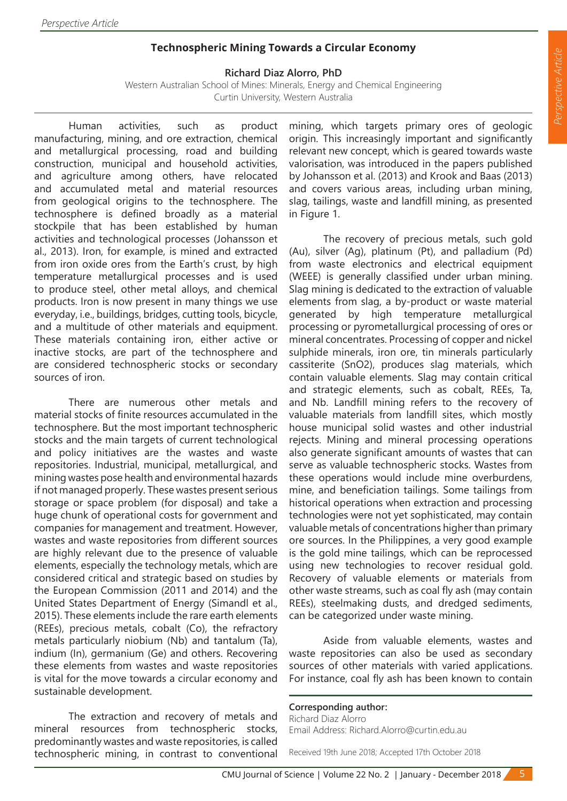## **Technospheric Mining Towards a Circular Economy**

## **Richard Diaz Alorro, PhD**

Western Australian School of Mines: Minerals, Energy and Chemical Engineering Curtin University, Western Australia

Human activities, such as product manufacturing, mining, and ore extraction, chemical and metallurgical processing, road and building construction, municipal and household activities, and agriculture among others, have relocated and accumulated metal and material resources from geological origins to the technosphere. The technosphere is defined broadly as a material stockpile that has been established by human activities and technological processes (Johansson et al., 2013). Iron, for example, is mined and extracted from iron oxide ores from the Earth's crust, by high temperature metallurgical processes and is used to produce steel, other metal alloys, and chemical products. Iron is now present in many things we use everyday, i.e., buildings, bridges, cutting tools, bicycle, and a multitude of other materials and equipment. These materials containing iron, either active or inactive stocks, are part of the technosphere and are considered technospheric stocks or secondary sources of iron.

There are numerous other metals and material stocks of finite resources accumulated in the technosphere. But the most important technospheric stocks and the main targets of current technological and policy initiatives are the wastes and waste repositories. Industrial, municipal, metallurgical, and mining wastes pose health and environmental hazards if not managed properly. These wastes present serious storage or space problem (for disposal) and take a huge chunk of operational costs for government and companies for management and treatment. However, wastes and waste repositories from different sources are highly relevant due to the presence of valuable elements, especially the technology metals, which are considered critical and strategic based on studies by the European Commission (2011 and 2014) and the United States Department of Energy (Simandl et al., 2015). These elements include the rare earth elements (REEs), precious metals, cobalt (Co), the refractory metals particularly niobium (Nb) and tantalum (Ta), indium (In), germanium (Ge) and others. Recovering these elements from wastes and waste repositories is vital for the move towards a circular economy and sustainable development.

The extraction and recovery of metals and mineral resources from technospheric stocks, predominantly wastes and waste repositories, is called technospheric mining, in contrast to conventional mining, which targets primary ores of geologic origin. This increasingly important and significantly relevant new concept, which is geared towards waste valorisation, was introduced in the papers published by Johansson et al. (2013) and Krook and Baas (2013) and covers various areas, including urban mining, slag, tailings, waste and landfill mining, as presented in Figure 1.

The recovery of precious metals, such gold (Au), silver (Ag), platinum (Pt), and palladium (Pd) from waste electronics and electrical equipment (WEEE) is generally classified under urban mining. Slag mining is dedicated to the extraction of valuable elements from slag, a by-product or waste material generated by high temperature metallurgical processing or pyrometallurgical processing of ores or mineral concentrates. Processing of copper and nickel sulphide minerals, iron ore, tin minerals particularly cassiterite (SnO2), produces slag materials, which contain valuable elements. Slag may contain critical and strategic elements, such as cobalt, REEs, Ta, and Nb. Landfill mining refers to the recovery of valuable materials from landfill sites, which mostly house municipal solid wastes and other industrial rejects. Mining and mineral processing operations also generate significant amounts of wastes that can serve as valuable technospheric stocks. Wastes from these operations would include mine overburdens, mine, and beneficiation tailings. Some tailings from historical operations when extraction and processing technologies were not yet sophisticated, may contain valuable metals of concentrations higher than primary ore sources. In the Philippines, a very good example is the gold mine tailings, which can be reprocessed using new technologies to recover residual gold. Recovery of valuable elements or materials from other waste streams, such as coal fly ash (may contain REEs), steelmaking dusts, and dredged sediments, can be categorized under waste mining.

Aside from valuable elements, wastes and waste repositories can also be used as secondary sources of other materials with varied applications. For instance, coal fly ash has been known to contain

## **Corresponding author:**

Richard Diaz Alorro Email Address: Richard.Alorro@curtin.edu.au

Received 19th June 2018; Accepted 17th October 2018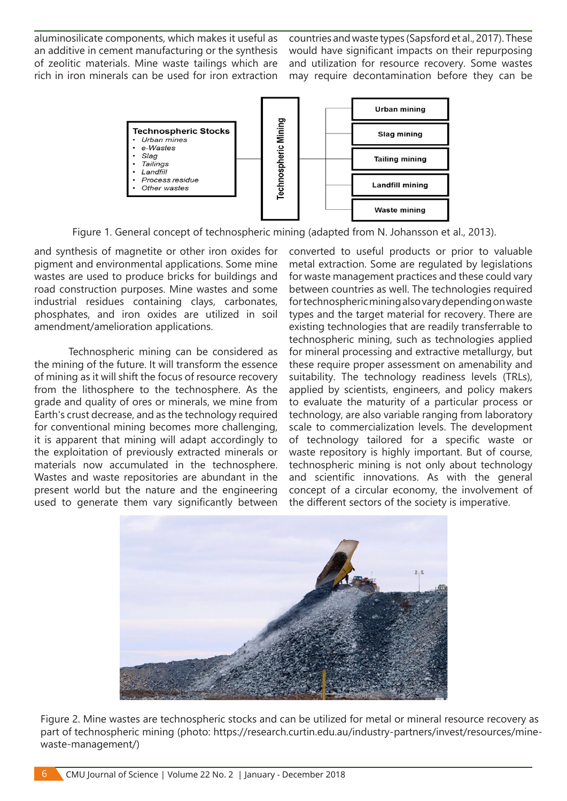aluminosilicate components, which makes it useful as an additive in cement manufacturing or the synthesis of zeolitic materials. Mine waste tailings which are rich in iron minerals can be used for iron extraction countries and waste types (Sapsford et al., 2017). These would have significant impacts on their repurposing and utilization for resource recovery. Some wastes may require decontamination before they can be



Figure 1. General concept of technospheric mining (adapted from N. Johansson et al., 2013).

and synthesis of magnetite or other iron oxides for pigment and environmental applications. Some mine wastes are used to produce bricks for buildings and road construction purposes. Mine wastes and some industrial residues containing clays, carbonates, phosphates, and iron oxides are utilized in soil amendment/amelioration applications.

Technospheric mining can be considered as the mining of the future. It will transform the essence of mining as it will shift the focus of resource recovery from the lithosphere to the technosphere. As the grade and quality of ores or minerals, we mine from Earth's crust decrease, and as the technology required for conventional mining becomes more challenging, it is apparent that mining will adapt accordingly to the exploitation of previously extracted minerals or materials now accumulated in the technosphere. Wastes and waste repositories are abundant in the present world but the nature and the engineering used to generate them vary significantly between

converted to useful products or prior to valuable metal extraction. Some are regulated by legislations for waste management practices and these could vary between countries as well. The technologies required for technospheric mining also vary depending on waste types and the target material for recovery. There are existing technologies that are readily transferrable to technospheric mining, such as technologies applied for mineral processing and extractive metallurgy, but these require proper assessment on amenability and suitability. The technology readiness levels (TRLs), applied by scientists, engineers, and policy makers to evaluate the maturity of a particular process or technology, are also variable ranging from laboratory scale to commercialization levels. The development of technology tailored for a specific waste or waste repository is highly important. But of course, technospheric mining is not only about technology and scientific innovations. As with the general concept of a circular economy, the involvement of the different sectors of the society is imperative.



Figure 2. Mine wastes are technospheric stocks and can be utilized for metal or mineral resource recovery as part of technospheric mining (photo: https://research.curtin.edu.au/industry-partners/invest/resources/minewaste-management/)